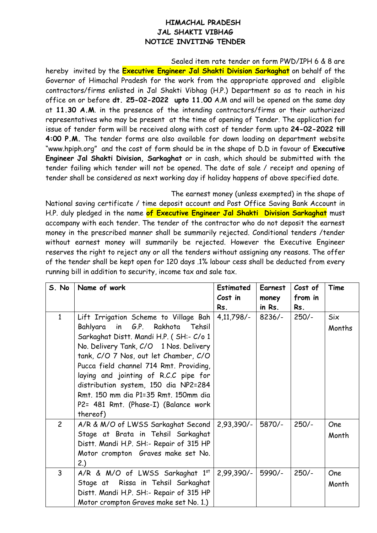## **HIMACHAL PRADESH JAL SHAKTI VIBHAG NOTICE INVITING TENDER**

Sealed item rate tender on form PWD/IPH 6 & 8 are hereby invited by the **Executive Engineer Jal Shakti Division Sarkaghat** on behalf of the Governor of Himachal Pradesh for the work from the appropriate approved and eligible contractors/firms enlisted in Jal Shakti Vibhag (H.P.) Department so as to reach in his office on or before **dt. 25-02-2022 upto 11.00** A.M and will be opened on the same day at **11.30 A.M**. in the presence of the intending contractors/firms or their authorized representatives who may be present at the time of opening of Tender. The application for issue of tender form will be received along with cost of tender form upto **24-02-2022 till 4:00 P.M.** The tender forms are also available for down loading on department website "www.hpiph.org" and the cost of form should be in the shape of D.D in favour of **Executive Engineer Jal Shakti Division, Sarkaghat** or in cash, which should be submitted with the tender failing which tender will not be opened. The date of sale / receipt and opening of tender shall be considered as next working day if holiday happens of above specified date.

The earnest money (unless exempted) in the shape of

National saving certificate / time deposit account and Post Office Saving Bank Account in H.P. duly pledged in the name **of Executive Engineer Jal Shakti Division Sarkaghat** must accompany with each tender. The tender of the contractor who do not deposit the earnest money in the prescribed manner shall be summarily rejected. Conditional tenders /tender without earnest money will summarily be rejected. However the Executive Engineer reserves the right to reject any or all the tenders without assigning any reasons. The offer of the tender shall be kept open for 120 days .1% labour cess shall be deducted from every running bill in addition to security, income tax and sale tax.

| S. No          | Name of work                                                                                                                                                                                                                                                                                                                                                                     | <b>Estimated</b><br>Cost in | Earnest<br>money | Cost of<br>from in | Time                 |
|----------------|----------------------------------------------------------------------------------------------------------------------------------------------------------------------------------------------------------------------------------------------------------------------------------------------------------------------------------------------------------------------------------|-----------------------------|------------------|--------------------|----------------------|
|                |                                                                                                                                                                                                                                                                                                                                                                                  | Rs.                         | in Rs.           | Rs.                |                      |
| $\mathbf{1}$   | Lift Irrigation Scheme to Village Bah<br>Bahlyara<br>in G.P. Rakhota<br>Tehsil<br>Sarkaghat Distt. Mandi H.P. (SH:- C/o 1<br>No. Delivery Tank, C/O 1 Nos. Delivery<br>tank, C/O 7 Nos, out let Chamber, C/O<br>Pucca field channel 714 Rmt. Providing,<br>laying and jointing of R.C.C pipe for<br>distribution system, 150 dia NP2=284<br>Rmt. 150 mm dia P1=35 Rmt. 150mm dia | $4,11,798/-$                | $8236/-$         | $250/-$            | <b>Six</b><br>Months |
|                | P2= 481 Rmt. (Phase-I) (Balance work<br>thereof)                                                                                                                                                                                                                                                                                                                                 |                             |                  |                    |                      |
| $\overline{2}$ | A/R & M/O of LWSS Sarkaghat Second<br>Stage at Brata in Tehsil Sarkaghat<br>Distt. Mandi H.P. SH:- Repair of 315 HP<br>Motor crompton Graves make set No.<br>2.)                                                                                                                                                                                                                 | $2,93,390/-$                | 5870/-           | $250/-$            | One<br>Month         |
| 3              | A/R & M/O of LWSS Sarkaghat 1st<br>Stage at Rissa in Tehsil Sarkaghat<br>Distt. Mandi H.P. SH:- Repair of 315 HP<br>Motor crompton Graves make set No. 1.)                                                                                                                                                                                                                       | $2,99,390/-$                | 5990/-           | $250/-$            | One<br>Month         |